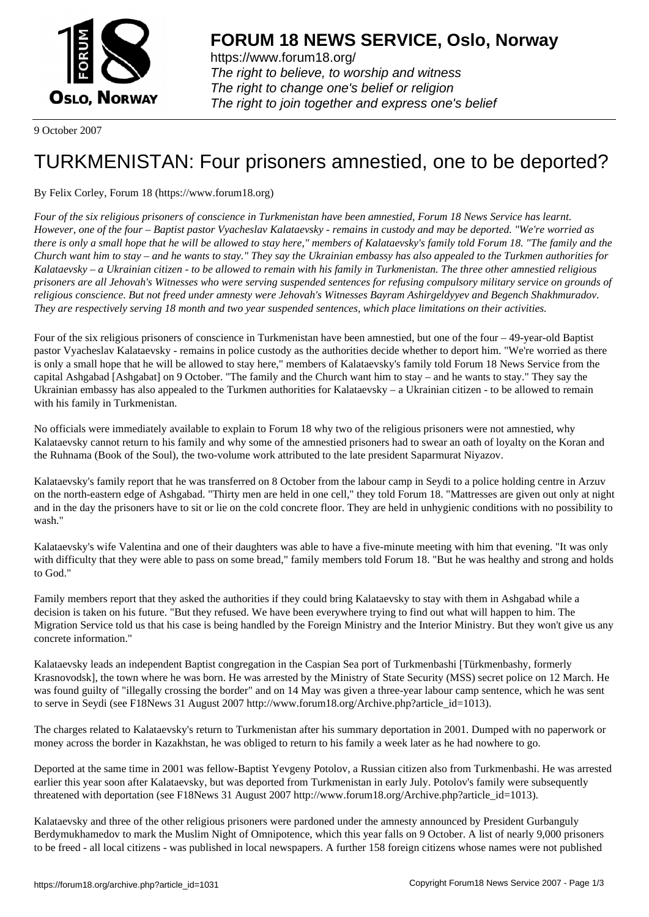

https://www.forum18.org/ The right to believe, to worship and witness The right to change one's belief or religion [The right to join together a](https://www.forum18.org/)nd express one's belief

9 October 2007

## [TURKMENISTA](https://www.forum18.org)N: Four prisoners amnestied, one to be deported?

## By Felix Corley, Forum 18 (https://www.forum18.org)

*Four of the six religious prisoners of conscience in Turkmenistan have been amnestied, Forum 18 News Service has learnt. However, one of the four – Baptist pastor Vyacheslav Kalataevsky - remains in custody and may be deported. "We're worried as there is only a small hope that he will be allowed to stay here," members of Kalataevsky's family told Forum 18. "The family and the Church want him to stay – and he wants to stay." They say the Ukrainian embassy has also appealed to the Turkmen authorities for Kalataevsky – a Ukrainian citizen - to be allowed to remain with his family in Turkmenistan. The three other amnestied religious prisoners are all Jehovah's Witnesses who were serving suspended sentences for refusing compulsory military service on grounds of religious conscience. But not freed under amnesty were Jehovah's Witnesses Bayram Ashirgeldyyev and Begench Shakhmuradov. They are respectively serving 18 month and two year suspended sentences, which place limitations on their activities.*

Four of the six religious prisoners of conscience in Turkmenistan have been amnestied, but one of the four – 49-year-old Baptist pastor Vyacheslav Kalataevsky - remains in police custody as the authorities decide whether to deport him. "We're worried as there is only a small hope that he will be allowed to stay here," members of Kalataevsky's family told Forum 18 News Service from the capital Ashgabad [Ashgabat] on 9 October. "The family and the Church want him to stay – and he wants to stay." They say the Ukrainian embassy has also appealed to the Turkmen authorities for Kalataevsky – a Ukrainian citizen - to be allowed to remain with his family in Turkmenistan.

No officials were immediately available to explain to Forum 18 why two of the religious prisoners were not amnestied, why Kalataevsky cannot return to his family and why some of the amnestied prisoners had to swear an oath of loyalty on the Koran and the Ruhnama (Book of the Soul), the two-volume work attributed to the late president Saparmurat Niyazov.

Kalataevsky's family report that he was transferred on 8 October from the labour camp in Seydi to a police holding centre in Arzuv on the north-eastern edge of Ashgabad. "Thirty men are held in one cell," they told Forum 18. "Mattresses are given out only at night and in the day the prisoners have to sit or lie on the cold concrete floor. They are held in unhygienic conditions with no possibility to wash."

Kalataevsky's wife Valentina and one of their daughters was able to have a five-minute meeting with him that evening. "It was only with difficulty that they were able to pass on some bread," family members told Forum 18. "But he was healthy and strong and holds to God."

Family members report that they asked the authorities if they could bring Kalataevsky to stay with them in Ashgabad while a decision is taken on his future. "But they refused. We have been everywhere trying to find out what will happen to him. The Migration Service told us that his case is being handled by the Foreign Ministry and the Interior Ministry. But they won't give us any concrete information."

Kalataevsky leads an independent Baptist congregation in the Caspian Sea port of Turkmenbashi [Türkmenbashy, formerly Krasnovodsk], the town where he was born. He was arrested by the Ministry of State Security (MSS) secret police on 12 March. He was found guilty of "illegally crossing the border" and on 14 May was given a three-year labour camp sentence, which he was sent to serve in Seydi (see F18News 31 August 2007 http://www.forum18.org/Archive.php?article\_id=1013).

The charges related to Kalataevsky's return to Turkmenistan after his summary deportation in 2001. Dumped with no paperwork or money across the border in Kazakhstan, he was obliged to return to his family a week later as he had nowhere to go.

Deported at the same time in 2001 was fellow-Baptist Yevgeny Potolov, a Russian citizen also from Turkmenbashi. He was arrested earlier this year soon after Kalataevsky, but was deported from Turkmenistan in early July. Potolov's family were subsequently threatened with deportation (see F18News 31 August 2007 http://www.forum18.org/Archive.php?article\_id=1013).

Kalataevsky and three of the other religious prisoners were pardoned under the amnesty announced by President Gurbanguly Berdymukhamedov to mark the Muslim Night of Omnipotence, which this year falls on 9 October. A list of nearly 9,000 prisoners to be freed - all local citizens - was published in local newspapers. A further 158 foreign citizens whose names were not published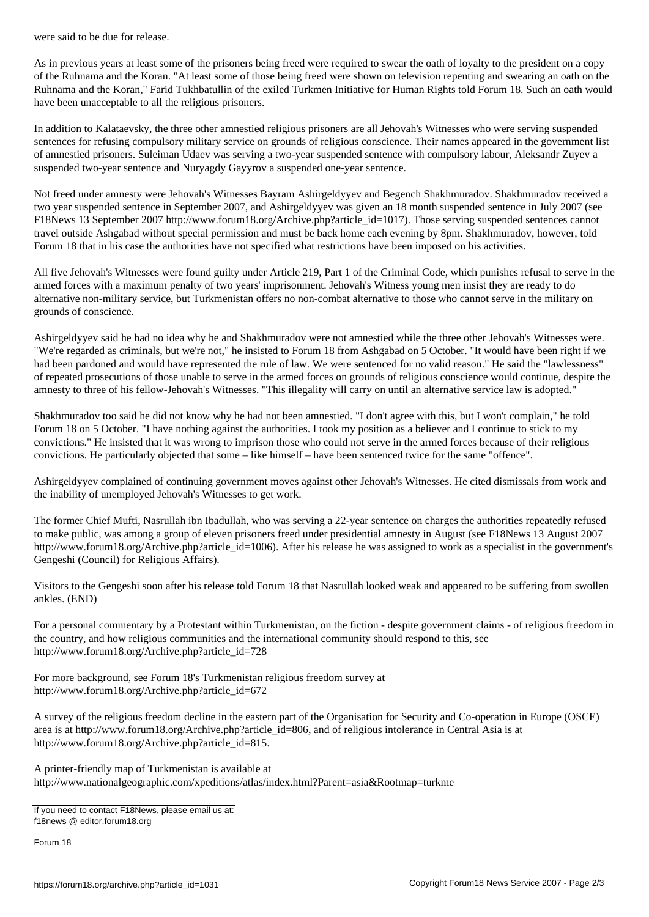As in previous years at least some of the prisoners being freed were required to swear the oath of loyalty to the president on a copy of the Ruhnama and the Koran. "At least some of those being freed were shown on television repenting and swearing an oath on the Ruhnama and the Koran," Farid Tukhbatullin of the exiled Turkmen Initiative for Human Rights told Forum 18. Such an oath would have been unacceptable to all the religious prisoners.

In addition to Kalataevsky, the three other amnestied religious prisoners are all Jehovah's Witnesses who were serving suspended sentences for refusing compulsory military service on grounds of religious conscience. Their names appeared in the government list of amnestied prisoners. Suleiman Udaev was serving a two-year suspended sentence with compulsory labour, Aleksandr Zuyev a suspended two-year sentence and Nuryagdy Gayyrov a suspended one-year sentence.

Not freed under amnesty were Jehovah's Witnesses Bayram Ashirgeldyyev and Begench Shakhmuradov. Shakhmuradov received a two year suspended sentence in September 2007, and Ashirgeldyyev was given an 18 month suspended sentence in July 2007 (see F18News 13 September 2007 http://www.forum18.org/Archive.php?article\_id=1017). Those serving suspended sentences cannot travel outside Ashgabad without special permission and must be back home each evening by 8pm. Shakhmuradov, however, told Forum 18 that in his case the authorities have not specified what restrictions have been imposed on his activities.

All five Jehovah's Witnesses were found guilty under Article 219, Part 1 of the Criminal Code, which punishes refusal to serve in the armed forces with a maximum penalty of two years' imprisonment. Jehovah's Witness young men insist they are ready to do alternative non-military service, but Turkmenistan offers no non-combat alternative to those who cannot serve in the military on grounds of conscience.

Ashirgeldyyev said he had no idea why he and Shakhmuradov were not amnestied while the three other Jehovah's Witnesses were. "We're regarded as criminals, but we're not," he insisted to Forum 18 from Ashgabad on 5 October. "It would have been right if we had been pardoned and would have represented the rule of law. We were sentenced for no valid reason." He said the "lawlessness" of repeated prosecutions of those unable to serve in the armed forces on grounds of religious conscience would continue, despite the amnesty to three of his fellow-Jehovah's Witnesses. "This illegality will carry on until an alternative service law is adopted."

Shakhmuradov too said he did not know why he had not been amnestied. "I don't agree with this, but I won't complain," he told Forum 18 on 5 October. "I have nothing against the authorities. I took my position as a believer and I continue to stick to my convictions." He insisted that it was wrong to imprison those who could not serve in the armed forces because of their religious convictions. He particularly objected that some – like himself – have been sentenced twice for the same "offence".

Ashirgeldyyev complained of continuing government moves against other Jehovah's Witnesses. He cited dismissals from work and the inability of unemployed Jehovah's Witnesses to get work.

The former Chief Mufti, Nasrullah ibn Ibadullah, who was serving a 22-year sentence on charges the authorities repeatedly refused to make public, was among a group of eleven prisoners freed under presidential amnesty in August (see F18News 13 August 2007 http://www.forum18.org/Archive.php?article\_id=1006). After his release he was assigned to work as a specialist in the government's Gengeshi (Council) for Religious Affairs).

Visitors to the Gengeshi soon after his release told Forum 18 that Nasrullah looked weak and appeared to be suffering from swollen ankles. (END)

For a personal commentary by a Protestant within Turkmenistan, on the fiction - despite government claims - of religious freedom in the country, and how religious communities and the international community should respond to this, see http://www.forum18.org/Archive.php?article\_id=728

For more background, see Forum 18's Turkmenistan religious freedom survey at http://www.forum18.org/Archive.php?article\_id=672

A survey of the religious freedom decline in the eastern part of the Organisation for Security and Co-operation in Europe (OSCE) area is at http://www.forum18.org/Archive.php?article\_id=806, and of religious intolerance in Central Asia is at http://www.forum18.org/Archive.php?article\_id=815.

A printer-friendly map of Turkmenistan is available at http://www.nationalgeographic.com/xpeditions/atlas/index.html?Parent=asia&Rootmap=turkme

If you need to contact F18News, please email us at: f18news @ editor.forum18.org

Forum 18